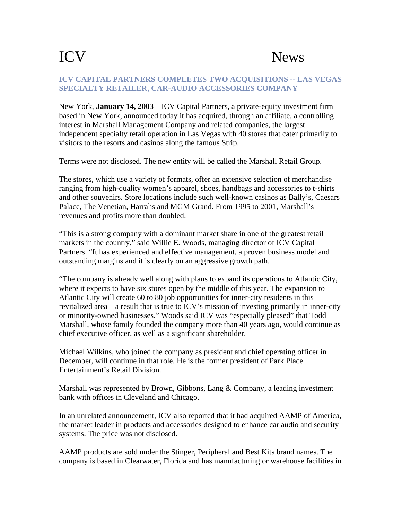## ICV News

## **ICV CAPITAL PARTNERS COMPLETES TWO ACQUISITIONS -- LAS VEGAS SPECIALTY RETAILER, CAR-AUDIO ACCESSORIES COMPANY**

New York, **January 14, 2003** – ICV Capital Partners, a private-equity investment firm based in New York, announced today it has acquired, through an affiliate, a controlling interest in Marshall Management Company and related companies, the largest independent specialty retail operation in Las Vegas with 40 stores that cater primarily to visitors to the resorts and casinos along the famous Strip.

Terms were not disclosed. The new entity will be called the Marshall Retail Group.

The stores, which use a variety of formats, offer an extensive selection of merchandise ranging from high-quality women's apparel, shoes, handbags and accessories to t-shirts and other souvenirs. Store locations include such well-known casinos as Bally's, Caesars Palace, The Venetian, Harrahs and MGM Grand. From 1995 to 2001, Marshall's revenues and profits more than doubled.

"This is a strong company with a dominant market share in one of the greatest retail markets in the country," said Willie E. Woods, managing director of ICV Capital Partners. "It has experienced and effective management, a proven business model and outstanding margins and it is clearly on an aggressive growth path.

"The company is already well along with plans to expand its operations to Atlantic City, where it expects to have six stores open by the middle of this year. The expansion to Atlantic City will create 60 to 80 job opportunities for inner-city residents in this revitalized area – a result that is true to ICV's mission of investing primarily in inner-city or minority-owned businesses." Woods said ICV was "especially pleased" that Todd Marshall, whose family founded the company more than 40 years ago, would continue as chief executive officer, as well as a significant shareholder.

Michael Wilkins, who joined the company as president and chief operating officer in December, will continue in that role. He is the former president of Park Place Entertainment's Retail Division.

Marshall was represented by Brown, Gibbons, Lang & Company, a leading investment bank with offices in Cleveland and Chicago.

In an unrelated announcement, ICV also reported that it had acquired AAMP of America, the market leader in products and accessories designed to enhance car audio and security systems. The price was not disclosed.

AAMP products are sold under the Stinger, Peripheral and Best Kits brand names. The company is based in Clearwater, Florida and has manufacturing or warehouse facilities in